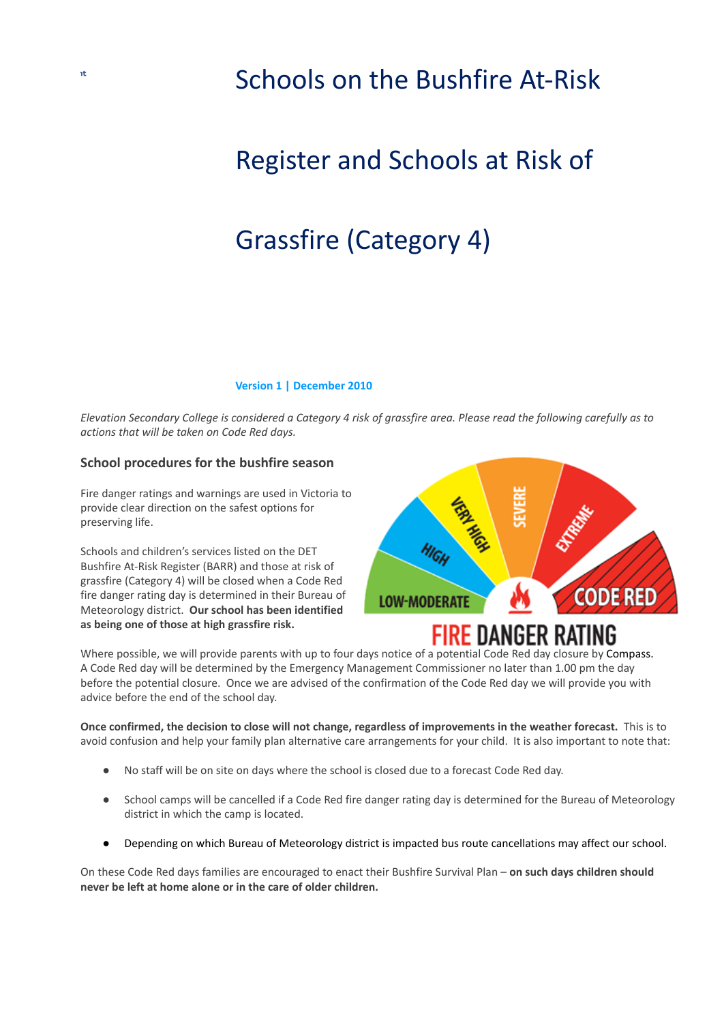### Schools on the Bushfire At-Risk

## Register and Schools at Risk of

# Grassfire (Category 4)

#### **Version 1 | December 2010**

Elevation Secondary College is considered a Category 4 risk of grassfire area. Please read the following carefully as to *actions that will be taken on Code Red days.*

#### **School procedures for the bushfire season**

Fire danger ratings and warnings are used in Victoria to provide clear direction on the safest options for preserving life.

Schools and children's services listed on the DET Bushfire At-Risk Register (BARR) and those at risk of grassfire (Category 4) will be closed when a Code Red fire danger rating day is determined in their Bureau of Meteorology district. **Our school has been identified as being one of those at high grassfire risk.**



### FIRE DANGER R

Where possible, we will provide parents with up to four days notice of a potential Code Red day closure by Compass. A Code Red day will be determined by the Emergency Management Commissioner no later than 1.00 pm the day before the potential closure. Once we are advised of the confirmation of the Code Red day we will provide you with advice before the end of the school day.

Once confirmed, the decision to close will not change, regardless of improvements in the weather forecast. This is to avoid confusion and help your family plan alternative care arrangements for your child. It is also important to note that:

- No staff will be on site on days where the school is closed due to a forecast Code Red day.
- School camps will be cancelled if a Code Red fire danger rating day is determined for the Bureau of Meteorology district in which the camp is located.
- Depending on which Bureau of Meteorology district is impacted bus route cancellations may affect our school.

On these Code Red days families are encouraged to enact their Bushfire Survival Plan – **on such days children should never be left at home alone or in the care of older children.**